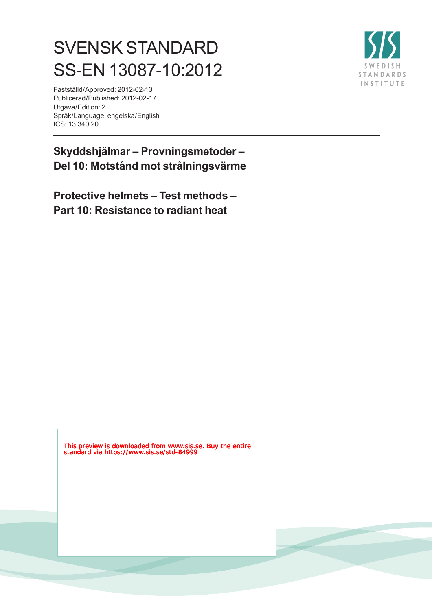# SVENSK STANDARD SS-EN 13087-10:2012

Fastställd/Approved: 2012-02-13 Publicerad/Published: 2012-02-17 Utgåva/Edition: 2 Språk/Language: engelska/English ICS: 13.340.20



**Skyddshjälmar – Provningsmetoder – Del 10: Motstånd mot strålningsvärme**

**Protective helmets – Test methods – Part 10: Resistance to radiant heat**

This preview is downloaded from www.sis.se. Buy the entire standard via https://www.sis.se/std-84999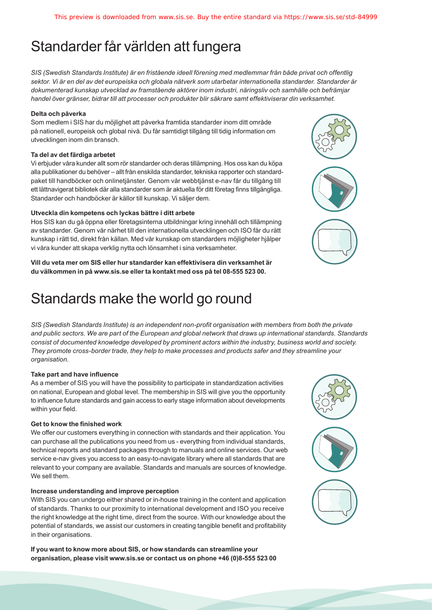## Standarder får världen att fungera

*SIS (Swedish Standards Institute) är en fristående ideell förening med medlemmar från både privat och offentlig sektor. Vi är en del av det europeiska och globala nätverk som utarbetar internationella standarder. Standarder är dokumenterad kunskap utvecklad av framstående aktörer inom industri, näringsliv och samhälle och befrämjar handel över gränser, bidrar till att processer och produkter blir säkrare samt effektiviserar din verksamhet.* 

#### **Delta och påverka**

Som medlem i SIS har du möjlighet att påverka framtida standarder inom ditt område på nationell, europeisk och global nivå. Du får samtidigt tillgång till tidig information om utvecklingen inom din bransch.

#### **Ta del av det färdiga arbetet**

Vi erbjuder våra kunder allt som rör standarder och deras tillämpning. Hos oss kan du köpa alla publikationer du behöver – allt från enskilda standarder, tekniska rapporter och standardpaket till handböcker och onlinetjänster. Genom vår webbtjänst e-nav får du tillgång till ett lättnavigerat bibliotek där alla standarder som är aktuella för ditt företag finns tillgängliga. Standarder och handböcker är källor till kunskap. Vi säljer dem.

#### **Utveckla din kompetens och lyckas bättre i ditt arbete**

Hos SIS kan du gå öppna eller företagsinterna utbildningar kring innehåll och tillämpning av standarder. Genom vår närhet till den internationella utvecklingen och ISO får du rätt kunskap i rätt tid, direkt från källan. Med vår kunskap om standarders möjligheter hjälper vi våra kunder att skapa verklig nytta och lönsamhet i sina verksamheter.

**Vill du veta mer om SIS eller hur standarder kan effektivisera din verksamhet är du välkommen in på www.sis.se eller ta kontakt med oss på tel 08-555 523 00.**

## Standards make the world go round

*SIS (Swedish Standards Institute) is an independent non-profit organisation with members from both the private and public sectors. We are part of the European and global network that draws up international standards. Standards consist of documented knowledge developed by prominent actors within the industry, business world and society. They promote cross-border trade, they help to make processes and products safer and they streamline your organisation.*

#### **Take part and have influence**

As a member of SIS you will have the possibility to participate in standardization activities on national, European and global level. The membership in SIS will give you the opportunity to influence future standards and gain access to early stage information about developments within your field.

#### **Get to know the finished work**

We offer our customers everything in connection with standards and their application. You can purchase all the publications you need from us - everything from individual standards, technical reports and standard packages through to manuals and online services. Our web service e-nav gives you access to an easy-to-navigate library where all standards that are relevant to your company are available. Standards and manuals are sources of knowledge. We sell them.

#### **Increase understanding and improve perception**

With SIS you can undergo either shared or in-house training in the content and application of standards. Thanks to our proximity to international development and ISO you receive the right knowledge at the right time, direct from the source. With our knowledge about the potential of standards, we assist our customers in creating tangible benefit and profitability in their organisations.

**If you want to know more about SIS, or how standards can streamline your organisation, please visit www.sis.se or contact us on phone +46 (0)8-555 523 00**



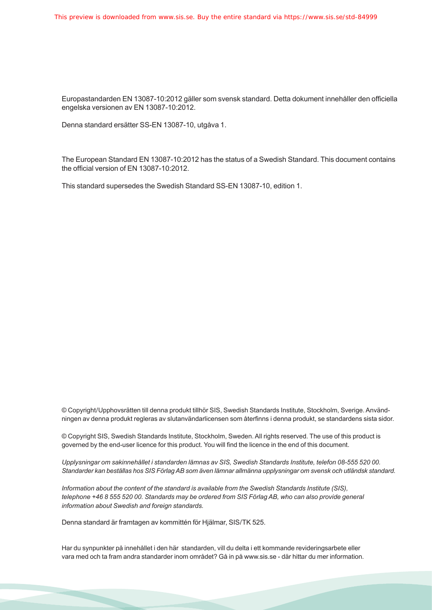Europastandarden EN 13087-10:2012 gäller som svensk standard. Detta dokument innehåller den officiella engelska versionen av EN 13087-10:2012.

Denna standard ersätter SS-EN 13087-10, utgåva 1.

The European Standard EN 13087-10:2012 has the status of a Swedish Standard. This document contains the official version of EN 13087-10:2012.

This standard supersedes the Swedish Standard SS-EN 13087-10, edition 1.

© Copyright/Upphovsrätten till denna produkt tillhör SIS, Swedish Standards Institute, Stockholm, Sverige. Användningen av denna produkt regleras av slutanvändarlicensen som återfinns i denna produkt, se standardens sista sidor.

© Copyright SIS, Swedish Standards Institute, Stockholm, Sweden. All rights reserved. The use of this product is governed by the end-user licence for this product. You will find the licence in the end of this document.

*Upplysningar om sakinnehållet i standarden lämnas av SIS, Swedish Standards Institute, telefon 08-555 520 00. Standarder kan beställas hos SIS Förlag AB som även lämnar allmänna upplysningar om svensk och utländsk standard.*

*Information about the content of the standard is available from the Swedish Standards Institute (SIS), telephone +46 8 555 520 00. Standards may be ordered from SIS Förlag AB, who can also provide general information about Swedish and foreign standards.*

Denna standard är framtagen av kommittén för Hjälmar, SIS/TK 525.

Har du synpunkter på innehållet i den här standarden, vill du delta i ett kommande revideringsarbete eller vara med och ta fram andra standarder inom området? Gå in på www.sis.se - där hittar du mer information.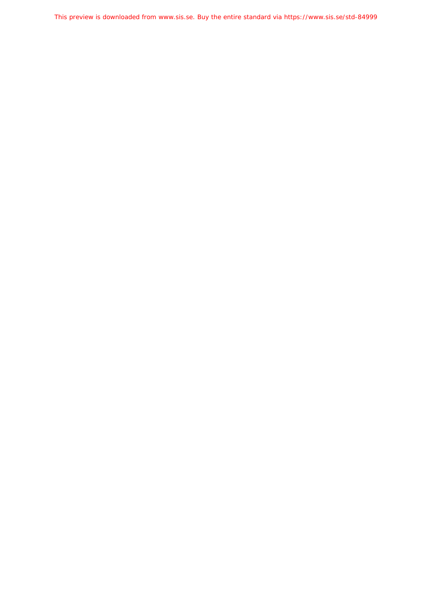This preview is downloaded from www.sis.se. Buy the entire standard via https://www.sis.se/std-84999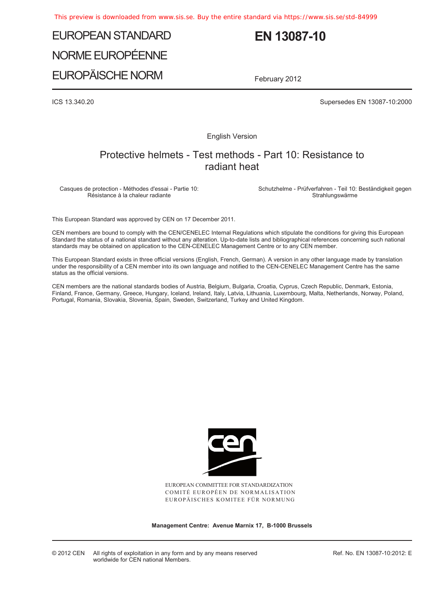## EUROPEAN STANDARD NORME EUROPÉENNE EUROPÄISCHE NORM

## **EN 13087-10**

February 2012

ICS 13.340.20 Supersedes EN 13087-10:2000

English Version

### Protective helmets - Test methods - Part 10: Resistance to radiant heat

Casques de protection - Méthodes d'essai - Partie 10: Résistance à la chaleur radiante

 Schutzhelme - Prüfverfahren - Teil 10: Beständigkeit gegen Strahlungswärme

This European Standard was approved by CEN on 17 December 2011.

CEN members are bound to comply with the CEN/CENELEC Internal Regulations which stipulate the conditions for giving this European Standard the status of a national standard without any alteration. Up-to-date lists and bibliographical references concerning such national standards may be obtained on application to the CEN-CENELEC Management Centre or to any CEN member.

This European Standard exists in three official versions (English, French, German). A version in any other language made by translation under the responsibility of a CEN member into its own language and notified to the CEN-CENELEC Management Centre has the same status as the official versions.

CEN members are the national standards bodies of Austria, Belgium, Bulgaria, Croatia, Cyprus, Czech Republic, Denmark, Estonia, Finland, France, Germany, Greece, Hungary, Iceland, Ireland, Italy, Latvia, Lithuania, Luxembourg, Malta, Netherlands, Norway, Poland, Portugal, Romania, Slovakia, Slovenia, Spain, Sweden, Switzerland, Turkey and United Kingdom.



EUROPEAN COMMITTEE FOR STANDARDIZATION COMITÉ EUROPÉEN DE NORMALISATION EUROPÄISCHES KOMITEE FÜR NORMUNG

**Management Centre: Avenue Marnix 17, B-1000 Brussels**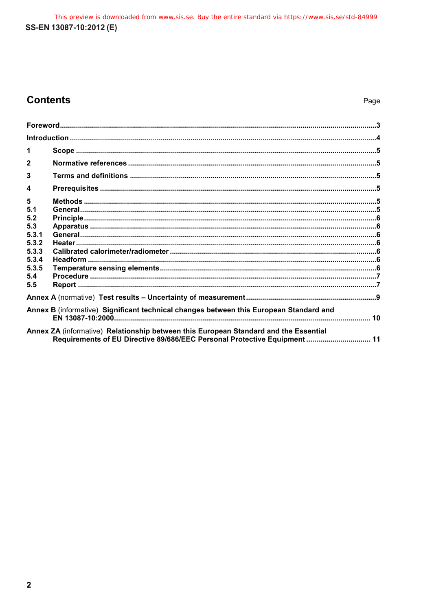This preview is downloaded from www.sis.se. Buy the entire standard via https://www.sis.se/std-84999 SS-EN 13087-10:2012 (E)

## **Contents**

Page

| $\mathbf{2}$     |                                                                                                                                                                   |  |
|------------------|-------------------------------------------------------------------------------------------------------------------------------------------------------------------|--|
| 3                |                                                                                                                                                                   |  |
| $\boldsymbol{4}$ |                                                                                                                                                                   |  |
| 5<br>5.1         |                                                                                                                                                                   |  |
| 5.2              |                                                                                                                                                                   |  |
| 5.3              |                                                                                                                                                                   |  |
| 5.3.1<br>5.3.2   |                                                                                                                                                                   |  |
| 5.3.3            |                                                                                                                                                                   |  |
| 5.3.4            |                                                                                                                                                                   |  |
| 5.3.5            |                                                                                                                                                                   |  |
| 5.4<br>5.5       |                                                                                                                                                                   |  |
|                  |                                                                                                                                                                   |  |
|                  | Annex B (informative) Significant technical changes between this European Standard and                                                                            |  |
|                  | Annex ZA (informative) Relationship between this European Standard and the Essential<br>Requirements of EU Directive 89/686/EEC Personal Protective Equipment  11 |  |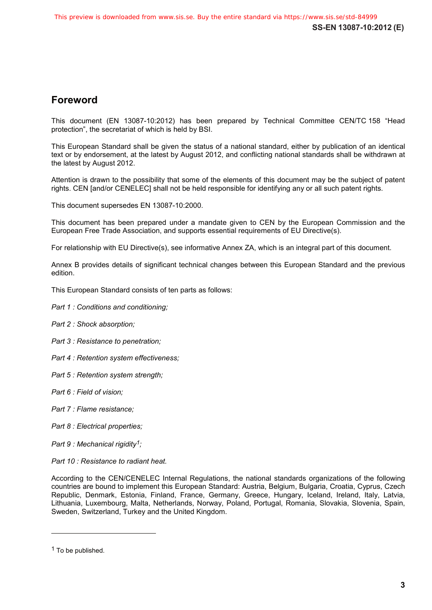### **Foreword**

This document (EN 13087-10:2012) has been prepared by Technical Committee CEN/TC 158 "Head protection", the secretariat of which is held by BSI.

This European Standard shall be given the status of a national standard, either by publication of an identical text or by endorsement, at the latest by August 2012, and conflicting national standards shall be withdrawn at the latest by August 2012.

Attention is drawn to the possibility that some of the elements of this document may be the subject of patent rights. CEN [and/or CENELEC] shall not be held responsible for identifying any or all such patent rights.

This document supersedes EN 13087-10:2000.

This document has been prepared under a mandate given to CEN by the European Commission and the European Free Trade Association, and supports essential requirements of EU Directive(s).

For relationship with EU Directive(s), see informative Annex ZA, which is an integral part of this document.

Annex B provides details of significant technical changes between this European Standard and the previous edition.

This European Standard consists of ten parts as follows:

- *Part 1 : Conditions and conditioning;*
- *Part 2 : Shock absorption;*
- *Part 3 : Resistance to penetration;*
- *Part 4 : Retention system effectiveness;*
- *Part 5 : Retention system strength;*
- *Part 6 : Field of vision;*
- *Part 7 : Flame resistance;*
- *Part 8 : Electrical properties;*
- *Part 9 : Mechanical rigidity1;*
- *Part 10 : Resistance to radiant heat.*

According to the CEN/CENELEC Internal Regulations, the national standards organizations of the following countries are bound to implement this European Standard: Austria, Belgium, Bulgaria, Croatia, Cyprus, Czech Republic, Denmark, Estonia, Finland, France, Germany, Greece, Hungary, Iceland, Ireland, Italy, Latvia, Lithuania, Luxembourg, Malta, Netherlands, Norway, Poland, Portugal, Romania, Slovakia, Slovenia, Spain, Sweden, Switzerland, Turkey and the United Kingdom.

-

<sup>&</sup>lt;sup>1</sup> To be published.